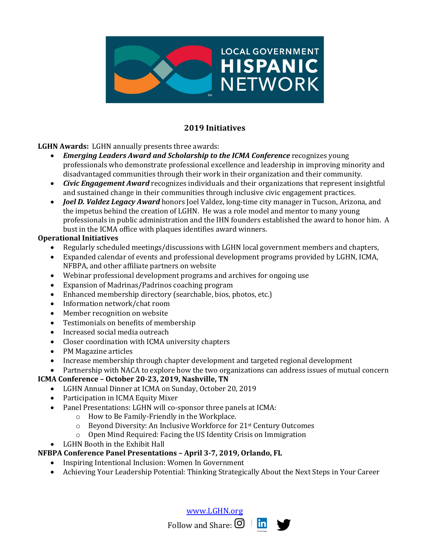

# **2019 Initiatives**

**LGHN Awards:** LGHN annually presents three awards:

- *Emerging Leaders Award and Scholarship to the ICMA Conference recognizes young* professionals who demonstrate professional excellence and leadership in improving minority and disadvantaged communities through their work in their organization and their community.
- *Civic Engagement Award* recognizes individuals and their organizations that represent insightful and sustained change in their communities through inclusive civic engagement practices.
- *Joel D. Valdez Legacy Award* honors Joel Valdez, long-time city manager in Tucson, Arizona, and the impetus behind the creation of LGHN. He was a role model and mentor to many young professionals in public administration and the IHN founders established the award to honor him. A bust in the ICMA office with plaques identifies award winners.

#### **Operational Initiatives**

- Regularly scheduled meetings/discussions with LGHN local government members and chapters,
- Expanded calendar of events and professional development programs provided by LGHN, ICMA, NFBPA, and other affiliate partners on website
- Webinar professional development programs and archives for ongoing use
- Expansion of Madrinas/Padrinos coaching program
- Enhanced membership directory (searchable, bios, photos, etc.)
- Information network/chat room
- Member recognition on website
- Testimonials on benefits of membership
- Increased social media outreach
- Closer coordination with ICMA university chapters
- PM Magazine articles
- Increase membership through chapter development and targeted regional development
- Partnership with NACA to explore how the two organizations can address issues of mutual concern

### **ICMA Conference - October 20-23, 2019, Nashville, TN**

- LGHN Annual Dinner at ICMA on Sunday, October 20, 2019
- Participation in ICMA Equity Mixer
- Panel Presentations: LGHN will co-sponsor three panels at ICMA:
	- o How to Be Family-Friendly in the Workplace.
	- $\circ$  Beyond Diversity: An Inclusive Workforce for 21<sup>st</sup> Century Outcomes
	- $\circ$  Open Mind Required: Facing the US Identity Crisis on Immigration
- LGHN Booth in the Exhibit Hall

### **NFBPA Conference Panel Presentations – April 3-7, 2019, Orlando, FL**

- Inspiring Intentional Inclusion: Women In Government
- Achieving Your Leadership Potential: Thinking Strategically About the Next Steps in Your Career

www.LGHN.org

Follow and Share:  $\mathbf{O}$   $\mathbf{in}$